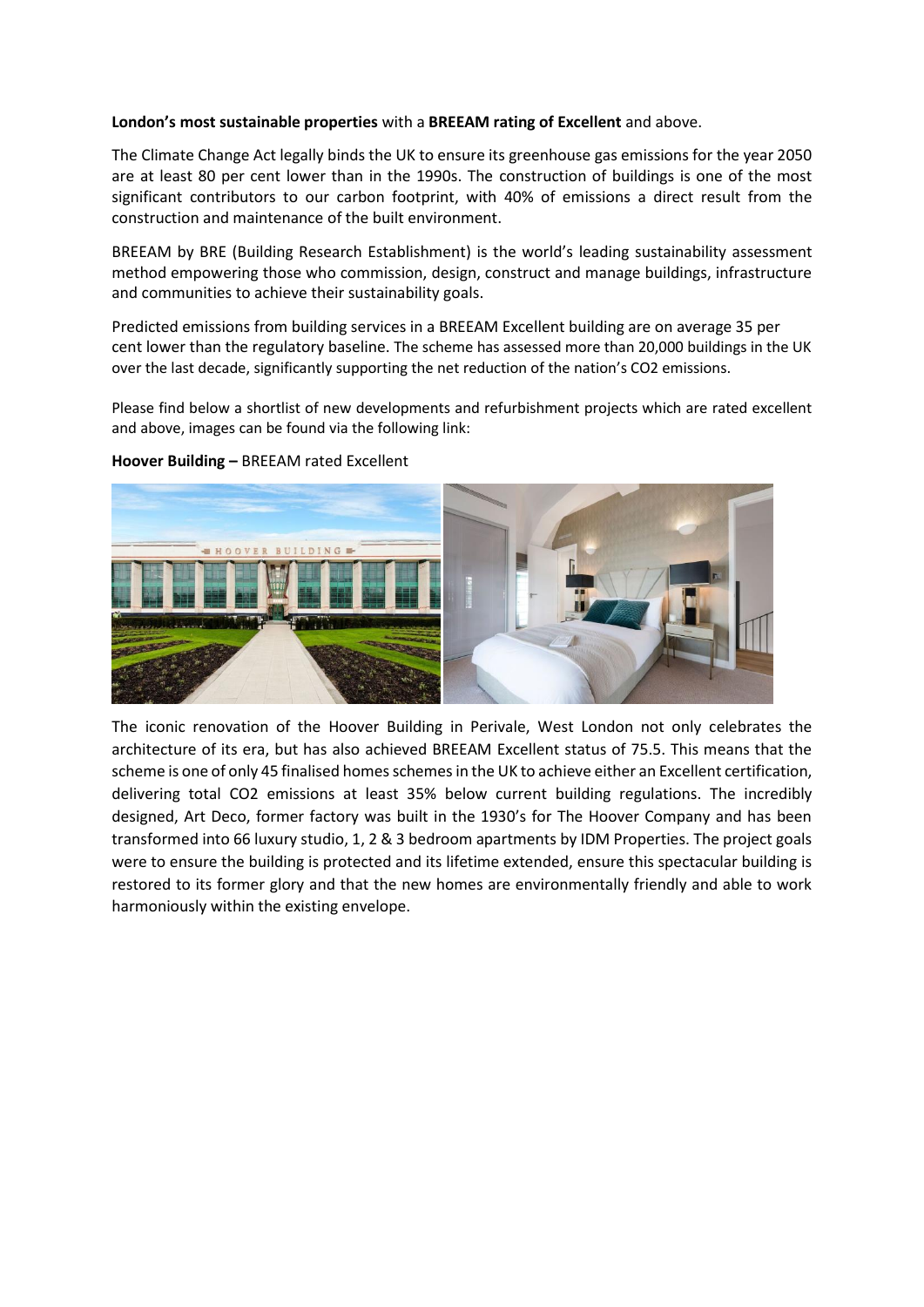## **London's most sustainable properties** with a **BREEAM rating of Excellent** and above.

The Climate Change Act legally binds the UK to ensure its greenhouse gas emissions for the year 2050 are at least 80 per cent lower than in the 1990s. The construction of buildings is one of the most significant contributors to our carbon footprint, with 40% of emissions a direct result from the construction and maintenance of the built environment.

BREEAM by BRE (Building Research Establishment) is the world's leading sustainability assessment method empowering those who commission, design, construct and manage buildings, infrastructure and communities to achieve their sustainability goals.

Predicted emissions from building services in a BREEAM Excellent building are on average 35 per cent lower than the regulatory baseline. The scheme has assessed more than 20,000 buildings in the UK over the last decade, significantly supporting the net reduction of the nation's CO2 emissions.

Please find below a shortlist of new developments and refurbishment projects which are rated excellent and above, images can be found via the following link:



## **Hoover Building –** BREEAM rated Excellent

The iconic renovation of the Hoover Building in Perivale, West London not only celebrates the architecture of its era, but has also achieved BREEAM Excellent status of 75.5. This means that the scheme is one of only 45 finalised homes schemes in the UK to achieve either an Excellent certification, delivering total CO2 emissions at least 35% below current building regulations. The incredibly designed, Art Deco, former factory was built in the 1930's for The Hoover Company and has been transformed into 66 luxury studio, 1, 2 & 3 bedroom apartments by IDM Properties. The project goals were to ensure the building is protected and its lifetime extended, ensure this spectacular building is restored to its former glory and that the new homes are environmentally friendly and able to work harmoniously within the existing envelope.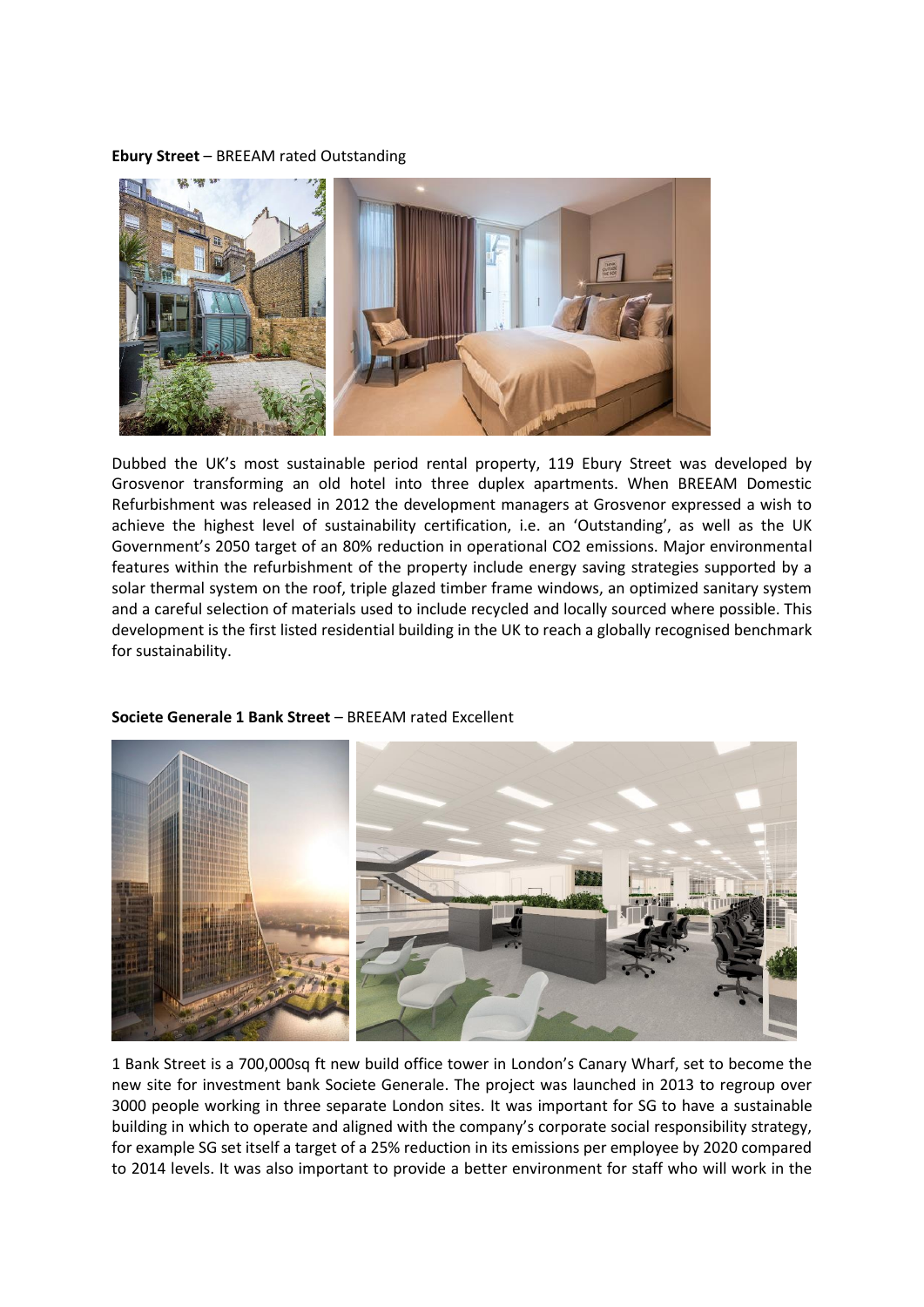## **Ebury Street** – BREEAM rated Outstanding



Dubbed the UK's most sustainable period rental property, 119 Ebury Street was developed by Grosvenor transforming an old hotel into three duplex apartments. When BREEAM Domestic Refurbishment was released in 2012 the development managers at Grosvenor expressed a wish to achieve the highest level of sustainability certification, i.e. an 'Outstanding', as well as the UK Government's 2050 target of an 80% reduction in operational CO2 emissions. Major environmental features within the refurbishment of the property include energy saving strategies supported by a solar thermal system on the roof, triple glazed timber frame windows, an optimized sanitary system and a careful selection of materials used to include recycled and locally sourced where possible. This development is the first listed residential building in the UK to reach a globally recognised benchmark for sustainability.



## **Societe Generale 1 Bank Street** – BREEAM rated Excellent

1 Bank Street is a 700,000sq ft new build office tower in London's Canary Wharf, set to become the new site for investment bank Societe Generale. The project was launched in 2013 to regroup over 3000 people working in three separate London sites. It was important for SG to have a sustainable building in which to operate and aligned with the company's corporate social responsibility strategy, for example SG set itself a target of a 25% reduction in its emissions per employee by 2020 compared to 2014 levels. It was also important to provide a better environment for staff who will work in the